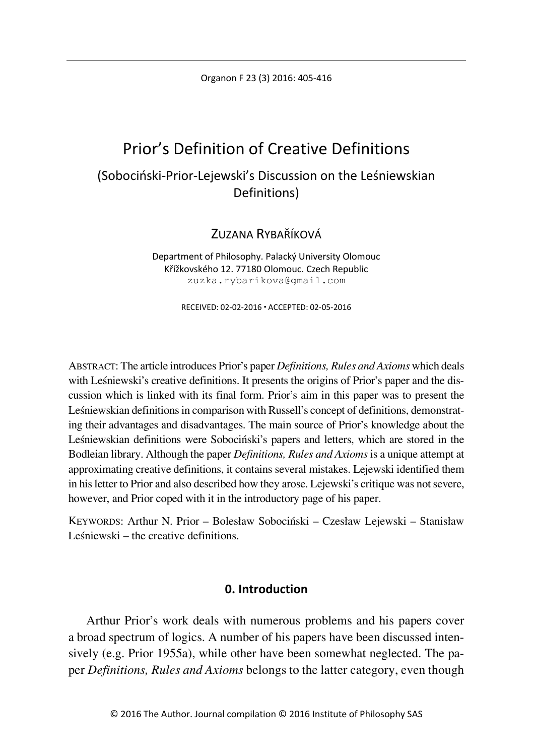Organon F 23 (3) 2016: 405-416

# Prior's Definition of Creative Definitions

# (Sobociński-Prior-Lejewski's Discussion on the Leśniewskian Definitions)

ZUZANA RYBAŘÍKOVÁ

Department of Philosophy. Palacký University Olomouc Křížkovského 12. 77180 Olomouc. Czech Republic zuzka.rybarikova@gmail.com

RECEIVED: 02-02-2016 ACCEPTED: 02-05-2016

ABSTRACT: The article introduces Prior's paper *Definitions, Rules and Axioms* which deals with Leśniewski's creative definitions. It presents the origins of Prior's paper and the discussion which is linked with its final form. Prior's aim in this paper was to present the Leśniewskian definitions in comparison with Russell's concept of definitions, demonstrating their advantages and disadvantages. The main source of Prior's knowledge about the Leśniewskian definitions were Sobociński's papers and letters, which are stored in the Bodleian library. Although the paper *Definitions, Rules and Axioms* is a unique attempt at approximating creative definitions, it contains several mistakes. Lejewski identified them in his letter to Prior and also described how they arose. Lejewski's critique was not severe, however, and Prior coped with it in the introductory page of his paper.

KEYWORDS: Arthur N. Prior – Bolesław Sobociński – Czesław Lejewski – Stanisław Leśniewski – the creative definitions.

# **0. Introduction**

Arthur Prior's work deals with numerous problems and his papers cover a broad spectrum of logics. A number of his papers have been discussed intensively (e.g. Prior 1955a), while other have been somewhat neglected. The paper *Definitions, Rules and Axioms* belongs to the latter category, even though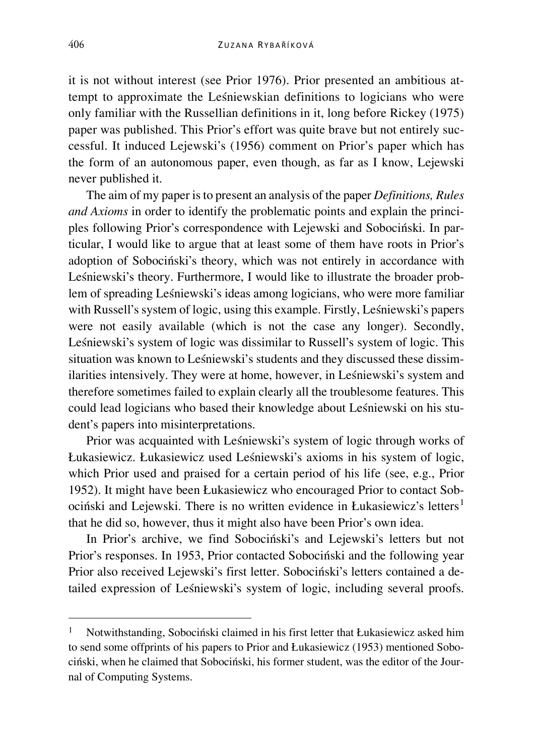it is not without interest (see Prior 1976). Prior presented an ambitious attempt to approximate the Leśniewskian definitions to logicians who were only familiar with the Russellian definitions in it, long before Rickey (1975) paper was published. This Prior's effort was quite brave but not entirely successful. It induced Lejewski's (1956) comment on Prior's paper which has the form of an autonomous paper, even though, as far as I know, Lejewski never published it.

The aim of my paper is to present an analysis of the paper *Definitions, Rules and Axioms* in order to identify the problematic points and explain the principles following Prior's correspondence with Lejewski and Sobociński. In particular, I would like to argue that at least some of them have roots in Prior's adoption of Sobociński's theory, which was not entirely in accordance with Leśniewski's theory. Furthermore, I would like to illustrate the broader problem of spreading Leśniewski's ideas among logicians, who were more familiar with Russell's system of logic, using this example. Firstly, Leśniewski's papers were not easily available (which is not the case any longer). Secondly, Leśniewski's system of logic was dissimilar to Russell's system of logic. This situation was known to Leśniewski's students and they discussed these dissimilarities intensively. They were at home, however, in Leśniewski's system and therefore sometimes failed to explain clearly all the troublesome features. This could lead logicians who based their knowledge about Leśniewski on his student's papers into misinterpretations.

Prior was acquainted with Leśniewski's system of logic through works of Łukasiewicz. Łukasiewicz used Leśniewski's axioms in his system of logic, which Prior used and praised for a certain period of his life (see, e.g., Prior 1952). It might have been Łukasiewicz who encouraged Prior to contact Sob-ociński and Lejewski. There is no written evidence in Łukasiewicz's letters<sup>[1](#page-1-0)</sup> that he did so, however, thus it might also have been Prior's own idea.

In Prior's archive, we find Sobociński's and Lejewski's letters but not Prior's responses. In 1953, Prior contacted Sobociński and the following year Prior also received Lejewski's first letter. Sobociński's letters contained a detailed expression of Leśniewski's system of logic, including several proofs.

<span id="page-1-0"></span> <sup>1</sup> Notwithstanding, Sobociński claimed in his first letter that Łukasiewicz asked him to send some offprints of his papers to Prior and Łukasiewicz (1953) mentioned Sobociński, when he claimed that Sobociński, his former student, was the editor of the Journal of Computing Systems.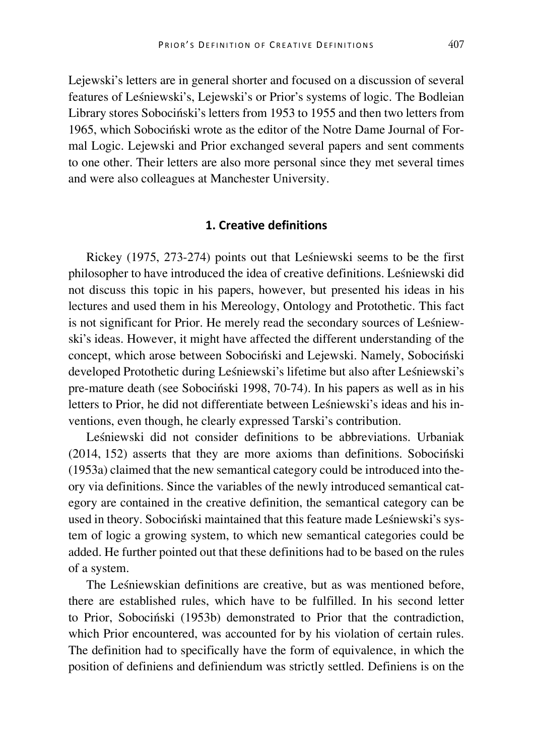Lejewski's letters are in general shorter and focused on a discussion of several features of Leśniewski's, Lejewski's or Prior's systems of logic. The Bodleian Library stores Sobociński's letters from 1953 to 1955 and then two letters from 1965, which Sobociński wrote as the editor of the Notre Dame Journal of Formal Logic. Lejewski and Prior exchanged several papers and sent comments to one other. Their letters are also more personal since they met several times and were also colleagues at Manchester University.

### **1. Creative definitions**

Rickey (1975, 273-274) points out that Leśniewski seems to be the first philosopher to have introduced the idea of creative definitions. Leśniewski did not discuss this topic in his papers, however, but presented his ideas in his lectures and used them in his Mereology, Ontology and Protothetic. This fact is not significant for Prior. He merely read the secondary sources of Leśniewski's ideas. However, it might have affected the different understanding of the concept, which arose between Sobociński and Lejewski. Namely, Sobociński developed Protothetic during Leśniewski's lifetime but also after Leśniewski's pre-mature death (see Sobociński 1998, 70-74). In his papers as well as in his letters to Prior, he did not differentiate between Leśniewski's ideas and his inventions, even though, he clearly expressed Tarski's contribution.

Leśniewski did not consider definitions to be abbreviations. Urbaniak (2014, 152) asserts that they are more axioms than definitions. Sobociński (1953a) claimed that the new semantical category could be introduced into theory via definitions. Since the variables of the newly introduced semantical category are contained in the creative definition, the semantical category can be used in theory. Sobociński maintained that this feature made Leśniewski's system of logic a growing system, to which new semantical categories could be added. He further pointed out that these definitions had to be based on the rules of a system.

The Leśniewskian definitions are creative, but as was mentioned before, there are established rules, which have to be fulfilled. In his second letter to Prior, Sobociński (1953b) demonstrated to Prior that the contradiction, which Prior encountered, was accounted for by his violation of certain rules. The definition had to specifically have the form of equivalence, in which the position of definiens and definiendum was strictly settled. Definiens is on the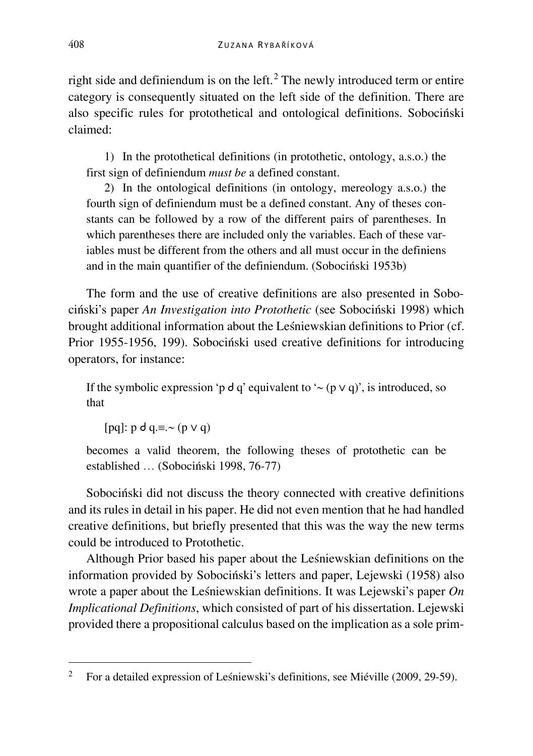right side and definiendum is on the left. [2](#page-3-0) The newly introduced term or entire category is consequently situated on the left side of the definition. There are also specific rules for protothetical and ontological definitions. Sobociński claimed:

1) In the protothetical definitions (in protothetic, ontology, a.s.o.) the first sign of definiendum *must be* a defined constant.

2) In the ontological definitions (in ontology, mereology a.s.o.) the fourth sign of definiendum must be a defined constant. Any of theses constants can be followed by a row of the different pairs of parentheses. In which parentheses there are included only the variables. Each of these variables must be different from the others and all must occur in the definiens and in the main quantifier of the definiendum. (Sobociński 1953b)

The form and the use of creative definitions are also presented in Sobociński's paper *An Investigation into Protothetic* (see Sobociński 1998) which brought additional information about the Leśniewskian definitions to Prior (cf. Prior 1955-1956, 199). Sobociński used creative definitions for introducing operators, for instance:

If the symbolic expression 'p d q' equivalent to '∼ (p ∨ q)', is introduced, so that

 $[pq]$ : p d q.≡.~ (p  $\vee$  q)

becomes a valid theorem, the following theses of protothetic can be established … (Sobociński 1998, 76-77)

Sobociński did not discuss the theory connected with creative definitions and its rules in detail in his paper. He did not even mention that he had handled creative definitions, but briefly presented that this was the way the new terms could be introduced to Protothetic.

Although Prior based his paper about the Leśniewskian definitions on the information provided by Sobociński's letters and paper, Lejewski (1958) also wrote a paper about the Leśniewskian definitions. It was Lejewski's paper *On Implicational Definitions*, which consisted of part of his dissertation. Lejewski provided there a propositional calculus based on the implication as a sole prim-

<span id="page-3-0"></span><sup>&</sup>lt;sup>2</sup> For a detailed expression of Leśniewski's definitions, see Miéville (2009, 29-59).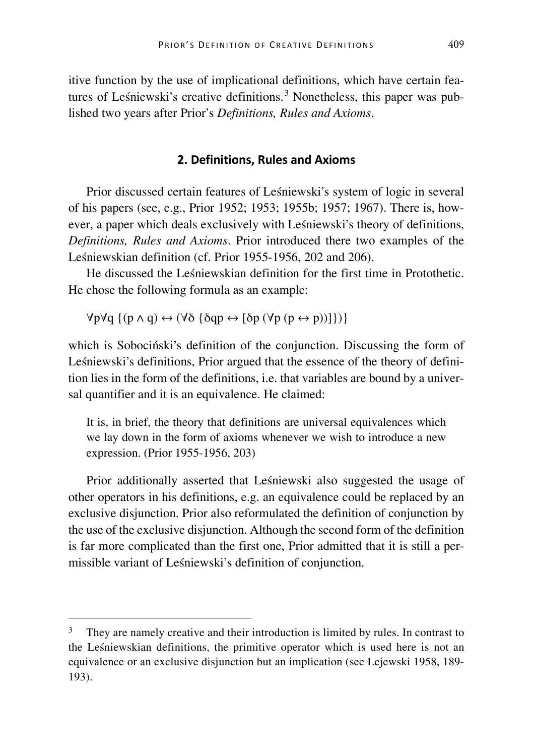itive function by the use of implicational definitions, which have certain features of Leśniewski's creative definitions. $3$  Nonetheless, this paper was published two years after Prior's *Definitions, Rules and Axioms*.

## **2. Definitions, Rules and Axioms**

Prior discussed certain features of Leśniewski's system of logic in several of his papers (see, e.g., Prior 1952; 1953; 1955b; 1957; 1967). There is, however, a paper which deals exclusively with Leśniewski's theory of definitions, *Definitions, Rules and Axioms*. Prior introduced there two examples of the Leśniewskian definition (cf. Prior 1955-1956, 202 and 206).

He discussed the Leśniewskian definition for the first time in Protothetic. He chose the following formula as an example:

 $\forall p \forall q \{(p \land q) \leftrightarrow (\forall \delta \{\delta qp \leftrightarrow [\delta p \ (\forall p \ (p \leftrightarrow p))]\})\}$ 

which is Sobociński's definition of the conjunction. Discussing the form of Leśniewski's definitions, Prior argued that the essence of the theory of definition lies in the form of the definitions, i.e. that variables are bound by a universal quantifier and it is an equivalence. He claimed:

It is, in brief, the theory that definitions are universal equivalences which we lay down in the form of axioms whenever we wish to introduce a new expression. (Prior 1955-1956, 203)

Prior additionally asserted that Leśniewski also suggested the usage of other operators in his definitions, e.g. an equivalence could be replaced by an exclusive disjunction. Prior also reformulated the definition of conjunction by the use of the exclusive disjunction. Although the second form of the definition is far more complicated than the first one, Prior admitted that it is still a permissible variant of Leśniewski's definition of conjunction.

<span id="page-4-0"></span><sup>&</sup>lt;sup>3</sup> They are namely creative and their introduction is limited by rules. In contrast to the Leśniewskian definitions, the primitive operator which is used here is not an equivalence or an exclusive disjunction but an implication (see Lejewski 1958, 189- 193).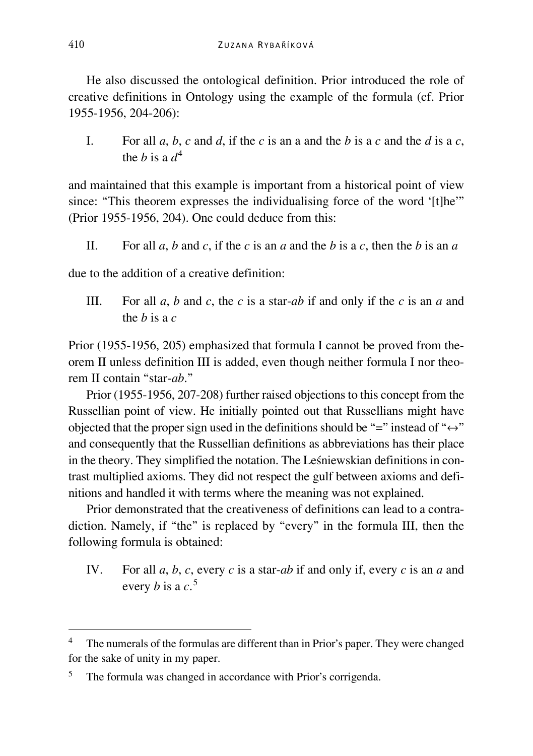He also discussed the ontological definition. Prior introduced the role of creative definitions in Ontology using the example of the formula (cf. Prior 1955-1956, 204-206):

I. For all *a*, *b*, *c* and *d*, if the *c* is an a and the *b* is a *c* and the *d* is a *c*, the *b* is a  $d^4$  $d^4$ 

and maintained that this example is important from a historical point of view since: "This theorem expresses the individualising force of the word '[t]he'" (Prior 1955-1956, 204). One could deduce from this:

II. For all *a*, *b* and *c*, if the *c* is an *a* and the *b* is a *c*, then the *b* is an *a* 

due to the addition of a creative definition:

III. For all *a*, *b* and *c*, the *c* is a star-*ab* if and only if the *c* is an *a* and the *b* is a *c*

Prior (1955-1956, 205) emphasized that formula I cannot be proved from theorem II unless definition III is added, even though neither formula I nor theorem II contain "star-*ab*."

Prior (1955-1956, 207-208) further raised objections to this concept from the Russellian point of view. He initially pointed out that Russellians might have objected that the proper sign used in the definitions should be "=" instead of " $\leftrightarrow$ " and consequently that the Russellian definitions as abbreviations has their place in the theory. They simplified the notation. The Leśniewskian definitions in contrast multiplied axioms. They did not respect the gulf between axioms and definitions and handled it with terms where the meaning was not explained.

Prior demonstrated that the creativeness of definitions can lead to a contradiction. Namely, if "the" is replaced by "every" in the formula III, then the following formula is obtained:

IV. For all *a*, *b*, *c*, every *c* is a star-*ab* if and only if, every *c* is an *a* and every *b* is a *c*. [5](#page-5-1)

<span id="page-5-0"></span><sup>&</sup>lt;sup>4</sup> The numerals of the formulas are different than in Prior's paper. They were changed for the sake of unity in my paper.

<span id="page-5-1"></span><sup>5</sup> The formula was changed in accordance with Prior's corrigenda.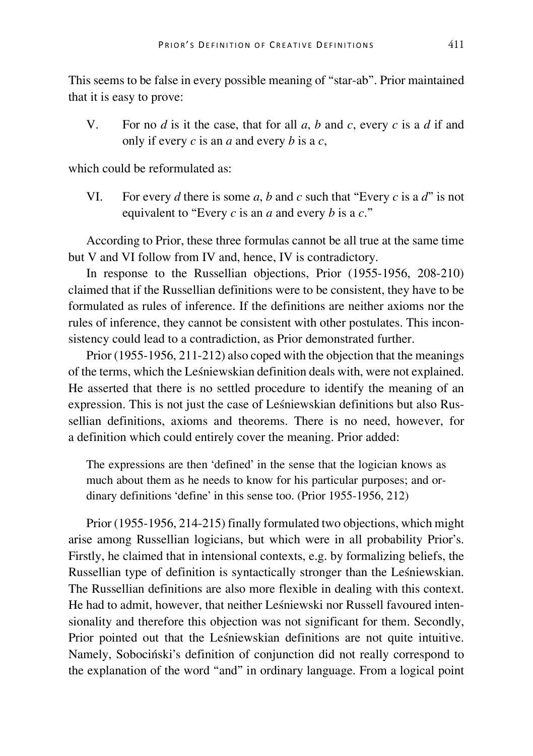This seems to be false in every possible meaning of "star-ab". Prior maintained that it is easy to prove:

V. For no *d* is it the case, that for all *a*, *b* and *c*, every *c* is a *d* if and only if every *c* is an *a* and every *b* is a *c*,

which could be reformulated as:

VI. For every *d* there is some *a*, *b* and *c* such that "Every *c* is a *d*" is not equivalent to "Every *c* is an *a* and every *b* is a *c*."

According to Prior, these three formulas cannot be all true at the same time but V and VI follow from IV and, hence, IV is contradictory.

In response to the Russellian objections, Prior (1955-1956, 208-210) claimed that if the Russellian definitions were to be consistent, they have to be formulated as rules of inference. If the definitions are neither axioms nor the rules of inference, they cannot be consistent with other postulates. This inconsistency could lead to a contradiction, as Prior demonstrated further.

Prior (1955-1956, 211-212) also coped with the objection that the meanings of the terms, which the Leśniewskian definition deals with, were not explained. He asserted that there is no settled procedure to identify the meaning of an expression. This is not just the case of Leśniewskian definitions but also Russellian definitions, axioms and theorems. There is no need, however, for a definition which could entirely cover the meaning. Prior added:

The expressions are then 'defined' in the sense that the logician knows as much about them as he needs to know for his particular purposes; and ordinary definitions 'define' in this sense too. (Prior 1955-1956, 212)

Prior (1955-1956, 214-215) finally formulated two objections, which might arise among Russellian logicians, but which were in all probability Prior's. Firstly, he claimed that in intensional contexts, e.g. by formalizing beliefs, the Russellian type of definition is syntactically stronger than the Leśniewskian. The Russellian definitions are also more flexible in dealing with this context. He had to admit, however, that neither Leśniewski nor Russell favoured intensionality and therefore this objection was not significant for them. Secondly, Prior pointed out that the Leśniewskian definitions are not quite intuitive. Namely, Sobociński's definition of conjunction did not really correspond to the explanation of the word "and" in ordinary language. From a logical point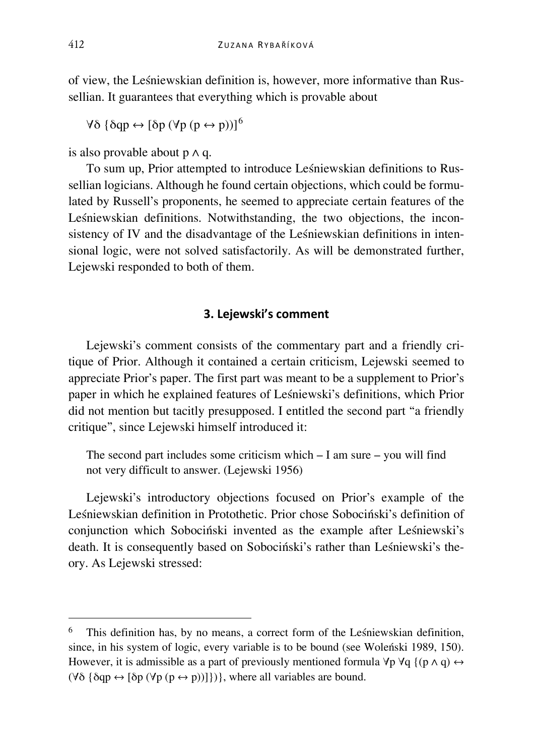of view, the Leśniewskian definition is, however, more informative than Russellian. It guarantees that everything which is provable about

 $\forall \delta$  {δqp ↔ [δp ( $\forall$ p (p ↔ p))]<sup>[6](#page-7-0)</sup>

is also provable about  $p \wedge q$ .

To sum up, Prior attempted to introduce Leśniewskian definitions to Russellian logicians. Although he found certain objections, which could be formulated by Russell's proponents, he seemed to appreciate certain features of the Leśniewskian definitions. Notwithstanding, the two objections, the inconsistency of IV and the disadvantage of the Leśniewskian definitions in intensional logic, were not solved satisfactorily. As will be demonstrated further, Lejewski responded to both of them.

## **3. Lejewski's comment**

Lejewski's comment consists of the commentary part and a friendly critique of Prior. Although it contained a certain criticism, Lejewski seemed to appreciate Prior's paper. The first part was meant to be a supplement to Prior's paper in which he explained features of Leśniewski's definitions, which Prior did not mention but tacitly presupposed. I entitled the second part "a friendly critique", since Lejewski himself introduced it:

The second part includes some criticism which – I am sure – you will find not very difficult to answer. (Lejewski 1956)

Lejewski's introductory objections focused on Prior's example of the Leśniewskian definition in Protothetic. Prior chose Sobociński's definition of conjunction which Sobociński invented as the example after Leśniewski's death. It is consequently based on Sobociński's rather than Leśniewski's theory. As Lejewski stressed:

<span id="page-7-0"></span> <sup>6</sup> This definition has, by no means, a correct form of the Leśniewskian definition, since, in his system of logic, every variable is to be bound (see Woleński 1989, 150). However, it is admissible as a part of previously mentioned formula  $\forall p \forall q \{ (p \land q) \leftrightarrow p \}$  $(\forall \delta \{ \delta qp \leftrightarrow [\delta p (\forall p (p \leftrightarrow p))] \})$ , where all variables are bound.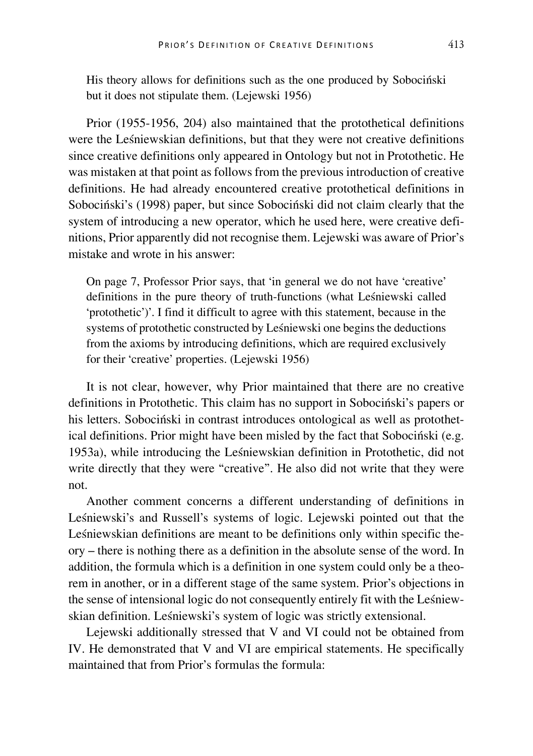His theory allows for definitions such as the one produced by Sobociński but it does not stipulate them. (Lejewski 1956)

Prior (1955-1956, 204) also maintained that the protothetical definitions were the Leśniewskian definitions, but that they were not creative definitions since creative definitions only appeared in Ontology but not in Protothetic. He was mistaken at that point as follows from the previous introduction of creative definitions. He had already encountered creative protothetical definitions in Sobociński's (1998) paper, but since Sobociński did not claim clearly that the system of introducing a new operator, which he used here, were creative definitions, Prior apparently did not recognise them. Lejewski was aware of Prior's mistake and wrote in his answer:

On page 7, Professor Prior says, that 'in general we do not have 'creative' definitions in the pure theory of truth-functions (what Leśniewski called 'protothetic')'. I find it difficult to agree with this statement, because in the systems of protothetic constructed by Leśniewski one begins the deductions from the axioms by introducing definitions, which are required exclusively for their 'creative' properties. (Lejewski 1956)

It is not clear, however, why Prior maintained that there are no creative definitions in Protothetic. This claim has no support in Sobociński's papers or his letters. Sobociński in contrast introduces ontological as well as protothetical definitions. Prior might have been misled by the fact that Sobociński (e.g. 1953a), while introducing the Leśniewskian definition in Protothetic, did not write directly that they were "creative". He also did not write that they were not.

Another comment concerns a different understanding of definitions in Leśniewski's and Russell's systems of logic. Lejewski pointed out that the Leśniewskian definitions are meant to be definitions only within specific theory – there is nothing there as a definition in the absolute sense of the word. In addition, the formula which is a definition in one system could only be a theorem in another, or in a different stage of the same system. Prior's objections in the sense of intensional logic do not consequently entirely fit with the Leśniewskian definition. Leśniewski's system of logic was strictly extensional.

Lejewski additionally stressed that V and VI could not be obtained from IV. He demonstrated that V and VI are empirical statements. He specifically maintained that from Prior's formulas the formula: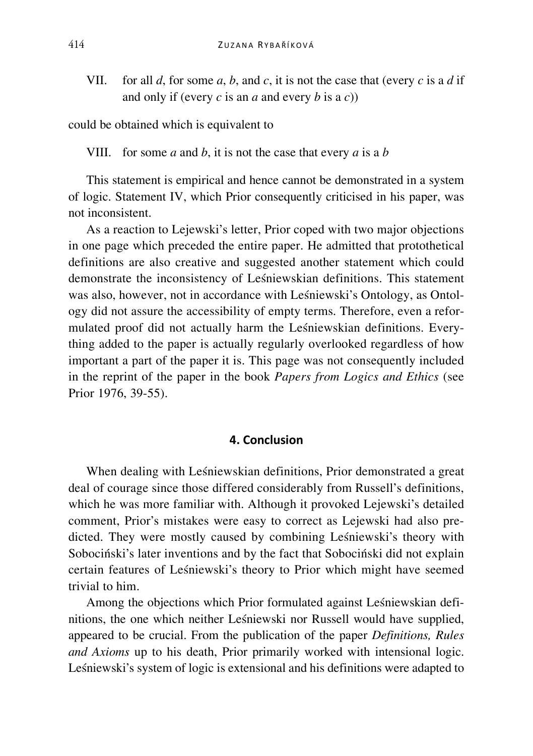VII. for all *d*, for some *a*, *b*, and *c*, it is not the case that (every *c* is a *d* if and only if (every *c* is an *a* and every *b* is a *c*))

could be obtained which is equivalent to

VIII. for some *a* and *b*, it is not the case that every *a* is a *b*

This statement is empirical and hence cannot be demonstrated in a system of logic. Statement IV, which Prior consequently criticised in his paper, was not inconsistent.

As a reaction to Lejewski's letter, Prior coped with two major objections in one page which preceded the entire paper. He admitted that protothetical definitions are also creative and suggested another statement which could demonstrate the inconsistency of Leśniewskian definitions. This statement was also, however, not in accordance with Leśniewski's Ontology, as Ontology did not assure the accessibility of empty terms. Therefore, even a reformulated proof did not actually harm the Leśniewskian definitions. Everything added to the paper is actually regularly overlooked regardless of how important a part of the paper it is. This page was not consequently included in the reprint of the paper in the book *Papers from Logics and Ethics* (see Prior 1976, 39-55).

## **4. Conclusion**

When dealing with Leśniewskian definitions, Prior demonstrated a great deal of courage since those differed considerably from Russell's definitions, which he was more familiar with. Although it provoked Lejewski's detailed comment, Prior's mistakes were easy to correct as Lejewski had also predicted. They were mostly caused by combining Leśniewski's theory with Sobociński's later inventions and by the fact that Sobociński did not explain certain features of Leśniewski's theory to Prior which might have seemed trivial to him.

Among the objections which Prior formulated against Leśniewskian definitions, the one which neither Leśniewski nor Russell would have supplied, appeared to be crucial. From the publication of the paper *Definitions, Rules and Axioms* up to his death, Prior primarily worked with intensional logic. Leśniewski's system of logic is extensional and his definitions were adapted to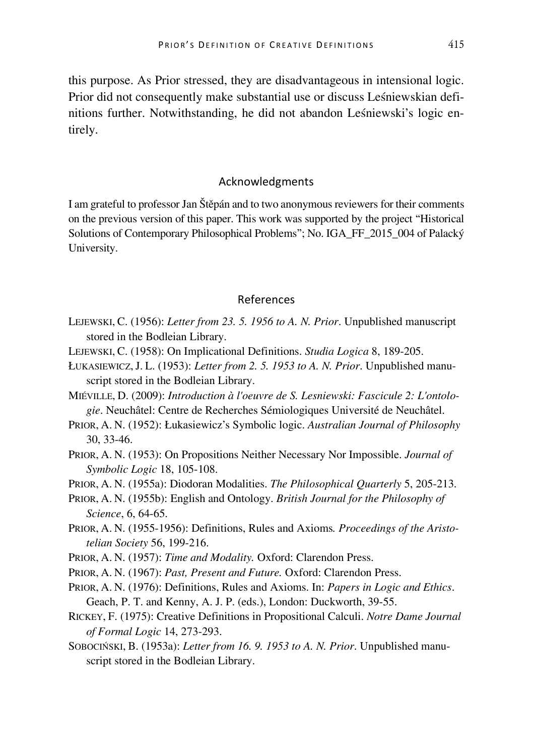this purpose. As Prior stressed, they are disadvantageous in intensional logic. Prior did not consequently make substantial use or discuss Leśniewskian definitions further. Notwithstanding, he did not abandon Leśniewski's logic entirely.

#### Acknowledgments

I am grateful to professor Jan Štěpán and to two anonymous reviewers for their comments on the previous version of this paper. This work was supported by the project "Historical Solutions of Contemporary Philosophical Problems"; No. IGA\_FF\_2015\_004 of Palacký University.

#### References

- LEJEWSKI, C. (1956): *Letter from 23. 5. 1956 to A. N. Prior*. Unpublished manuscript stored in the Bodleian Library.
- LEJEWSKI, C. (1958): On Implicational Definitions. *Studia Logica* 8, 189-205.
- ŁUKASIEWICZ,J. L. (1953): *Letter from 2. 5. 1953 to A. N. Prior*. Unpublished manuscript stored in the Bodleian Library.
- MIÉVILLE, D. (2009): *Introduction à l'oeuvre de S. Lesniewski: Fascicule 2: L'ontologie*. Neuchâtel: Centre de Recherches Sémiologiques Université de Neuchâtel.
- PRIOR, A. N. (1952): Łukasiewicz's Symbolic logic. *Australian Journal of Philosophy* 30, 33-46.
- PRIOR, A. N. (1953): On Propositions Neither Necessary Nor Impossible. *Journal of Symbolic Logic* 18, 105-108.
- PRIOR, A. N. (1955a): Diodoran Modalities. *The Philosophical Quarterly* 5, 205-213.
- PRIOR, A. N. (1955b): English and Ontology. *British Journal for the Philosophy of Science*, 6, 64-65.
- PRIOR, A. N. (1955-1956): Definitions, Rules and Axioms*. Proceedings of the Aristotelian Society* 56, 199-216.
- PRIOR, A. N. (1957): *Time and Modality.* Oxford: Clarendon Press.
- PRIOR, A. N. (1967): *Past, Present and Future.* Oxford: Clarendon Press.
- PRIOR, A. N. (1976): Definitions, Rules and Axioms. In: *Papers in Logic and Ethics*. Geach, P. T. and Kenny, A. J. P. (eds.), London: Duckworth, 39-55.
- RICKEY, F. (1975): Creative Definitions in Propositional Calculi. *Notre Dame Journal of Formal Logic* 14, 273-293.
- SOBOCIŃSKI, B. (1953a): *Letter from 16. 9. 1953 to A. N. Prior*. Unpublished manuscript stored in the Bodleian Library.